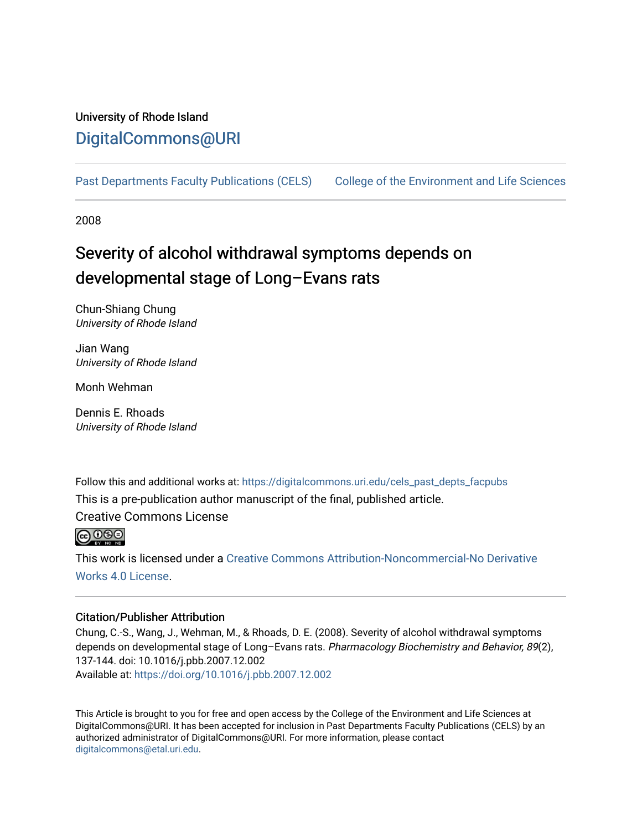# University of Rhode Island [DigitalCommons@URI](https://digitalcommons.uri.edu/)

[Past Departments Faculty Publications \(CELS\)](https://digitalcommons.uri.edu/cels_past_depts_facpubs) [College of the Environment and Life Sciences](https://digitalcommons.uri.edu/cels) 

2008

# Severity of alcohol withdrawal symptoms depends on developmental stage of Long–Evans rats

Chun-Shiang Chung University of Rhode Island

Jian Wang University of Rhode Island

Monh Wehman

Dennis E. Rhoads University of Rhode Island

Follow this and additional works at: [https://digitalcommons.uri.edu/cels\\_past\\_depts\\_facpubs](https://digitalcommons.uri.edu/cels_past_depts_facpubs?utm_source=digitalcommons.uri.edu%2Fcels_past_depts_facpubs%2F93&utm_medium=PDF&utm_campaign=PDFCoverPages)  This is a pre-publication author manuscript of the final, published article.

Creative Commons License



This work is licensed under a [Creative Commons Attribution-Noncommercial-No Derivative](https://creativecommons.org/licenses/by-nc-nd/4.0/)  [Works 4.0 License](https://creativecommons.org/licenses/by-nc-nd/4.0/).

# Citation/Publisher Attribution

Chung, C.-S., Wang, J., Wehman, M., & Rhoads, D. E. (2008). Severity of alcohol withdrawal symptoms depends on developmental stage of Long-Evans rats. Pharmacology Biochemistry and Behavior, 89(2), 137-144. doi: 10.1016/j.pbb.2007.12.002 Available at:<https://doi.org/10.1016/j.pbb.2007.12.002>

This Article is brought to you for free and open access by the College of the Environment and Life Sciences at DigitalCommons@URI. It has been accepted for inclusion in Past Departments Faculty Publications (CELS) by an authorized administrator of DigitalCommons@URI. For more information, please contact [digitalcommons@etal.uri.edu](mailto:digitalcommons@etal.uri.edu).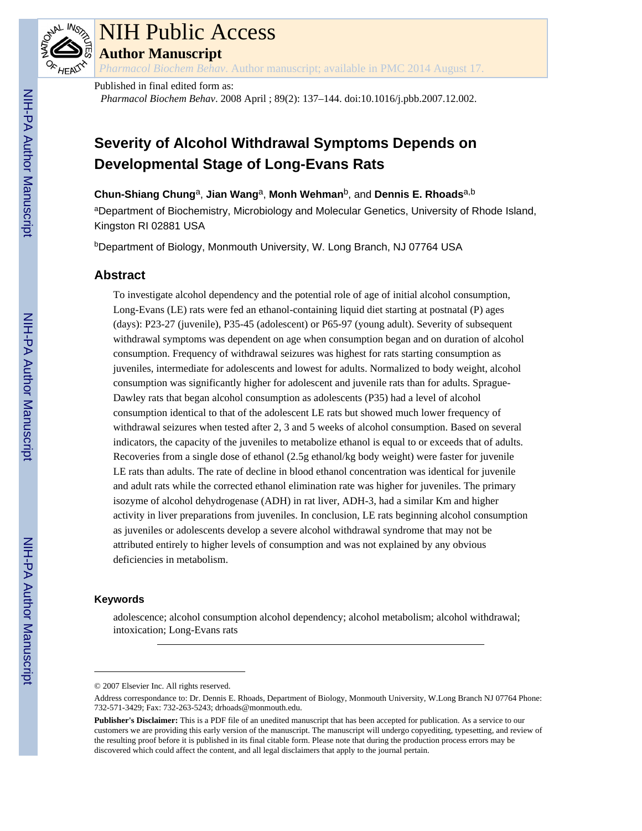

# NIH Public Access

**Author Manuscript**

*Pharmacol Biochem Behav*. Author manuscript; available in PMC 2014 August 17.

Published in final edited form as: *Pharmacol Biochem Behav*. 2008 April ; 89(2): 137–144. doi:10.1016/j.pbb.2007.12.002.

# **Severity of Alcohol Withdrawal Symptoms Depends on Developmental Stage of Long-Evans Rats**

**Chun-Shiang Chung**a, **Jian Wang**a, **Monh Wehman**b, and **Dennis E. Rhoads**a,b

aDepartment of Biochemistry, Microbiology and Molecular Genetics, University of Rhode Island, Kingston RI 02881 USA

<sup>b</sup>Department of Biology, Monmouth University, W. Long Branch, NJ 07764 USA

# **Abstract**

To investigate alcohol dependency and the potential role of age of initial alcohol consumption, Long-Evans (LE) rats were fed an ethanol-containing liquid diet starting at postnatal (P) ages (days): P23-27 (juvenile), P35-45 (adolescent) or P65-97 (young adult). Severity of subsequent withdrawal symptoms was dependent on age when consumption began and on duration of alcohol consumption. Frequency of withdrawal seizures was highest for rats starting consumption as juveniles, intermediate for adolescents and lowest for adults. Normalized to body weight, alcohol consumption was significantly higher for adolescent and juvenile rats than for adults. Sprague-Dawley rats that began alcohol consumption as adolescents (P35) had a level of alcohol consumption identical to that of the adolescent LE rats but showed much lower frequency of withdrawal seizures when tested after 2, 3 and 5 weeks of alcohol consumption. Based on several indicators, the capacity of the juveniles to metabolize ethanol is equal to or exceeds that of adults. Recoveries from a single dose of ethanol (2.5g ethanol/kg body weight) were faster for juvenile LE rats than adults. The rate of decline in blood ethanol concentration was identical for juvenile and adult rats while the corrected ethanol elimination rate was higher for juveniles. The primary isozyme of alcohol dehydrogenase (ADH) in rat liver, ADH-3, had a similar Km and higher activity in liver preparations from juveniles. In conclusion, LE rats beginning alcohol consumption as juveniles or adolescents develop a severe alcohol withdrawal syndrome that may not be attributed entirely to higher levels of consumption and was not explained by any obvious deficiencies in metabolism.

# **Keywords**

adolescence; alcohol consumption alcohol dependency; alcohol metabolism; alcohol withdrawal; intoxication; Long-Evans rats

<sup>© 2007</sup> Elsevier Inc. All rights reserved.

Address correspondance to: Dr. Dennis E. Rhoads, Department of Biology, Monmouth University, W.Long Branch NJ 07764 Phone: 732-571-3429; Fax: 732-263-5243; drhoads@monmouth.edu.

**Publisher's Disclaimer:** This is a PDF file of an unedited manuscript that has been accepted for publication. As a service to our customers we are providing this early version of the manuscript. The manuscript will undergo copyediting, typesetting, and review of the resulting proof before it is published in its final citable form. Please note that during the production process errors may be discovered which could affect the content, and all legal disclaimers that apply to the journal pertain.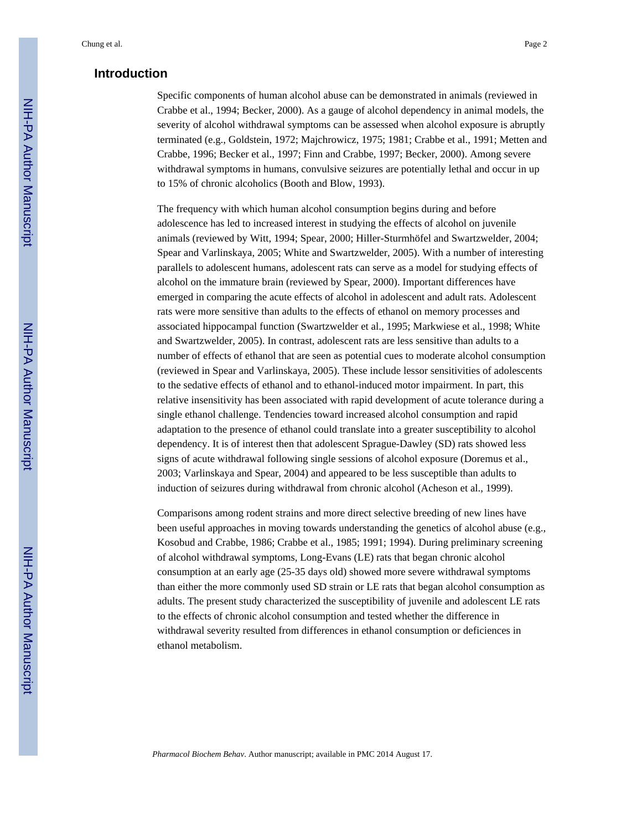# **Introduction**

Specific components of human alcohol abuse can be demonstrated in animals (reviewed in Crabbe et al., 1994; Becker, 2000). As a gauge of alcohol dependency in animal models, the severity of alcohol withdrawal symptoms can be assessed when alcohol exposure is abruptly terminated (e.g., Goldstein, 1972; Majchrowicz, 1975; 1981; Crabbe et al., 1991; Metten and Crabbe, 1996; Becker et al., 1997; Finn and Crabbe, 1997; Becker, 2000). Among severe withdrawal symptoms in humans, convulsive seizures are potentially lethal and occur in up to 15% of chronic alcoholics (Booth and Blow, 1993).

The frequency with which human alcohol consumption begins during and before adolescence has led to increased interest in studying the effects of alcohol on juvenile animals (reviewed by Witt, 1994; Spear, 2000; Hiller-Sturmhöfel and Swartzwelder, 2004; Spear and Varlinskaya, 2005; White and Swartzwelder, 2005). With a number of interesting parallels to adolescent humans, adolescent rats can serve as a model for studying effects of alcohol on the immature brain (reviewed by Spear, 2000). Important differences have emerged in comparing the acute effects of alcohol in adolescent and adult rats. Adolescent rats were more sensitive than adults to the effects of ethanol on memory processes and associated hippocampal function (Swartzwelder et al., 1995; Markwiese et al., 1998; White and Swartzwelder, 2005). In contrast, adolescent rats are less sensitive than adults to a number of effects of ethanol that are seen as potential cues to moderate alcohol consumption (reviewed in Spear and Varlinskaya, 2005). These include lessor sensitivities of adolescents to the sedative effects of ethanol and to ethanol-induced motor impairment. In part, this relative insensitivity has been associated with rapid development of acute tolerance during a single ethanol challenge. Tendencies toward increased alcohol consumption and rapid adaptation to the presence of ethanol could translate into a greater susceptibility to alcohol dependency. It is of interest then that adolescent Sprague-Dawley (SD) rats showed less signs of acute withdrawal following single sessions of alcohol exposure (Doremus et al., 2003; Varlinskaya and Spear, 2004) and appeared to be less susceptible than adults to induction of seizures during withdrawal from chronic alcohol (Acheson et al., 1999).

Comparisons among rodent strains and more direct selective breeding of new lines have been useful approaches in moving towards understanding the genetics of alcohol abuse (e.g., Kosobud and Crabbe, 1986; Crabbe et al., 1985; 1991; 1994). During preliminary screening of alcohol withdrawal symptoms, Long-Evans (LE) rats that began chronic alcohol consumption at an early age (25-35 days old) showed more severe withdrawal symptoms than either the more commonly used SD strain or LE rats that began alcohol consumption as adults. The present study characterized the susceptibility of juvenile and adolescent LE rats to the effects of chronic alcohol consumption and tested whether the difference in withdrawal severity resulted from differences in ethanol consumption or deficiences in ethanol metabolism.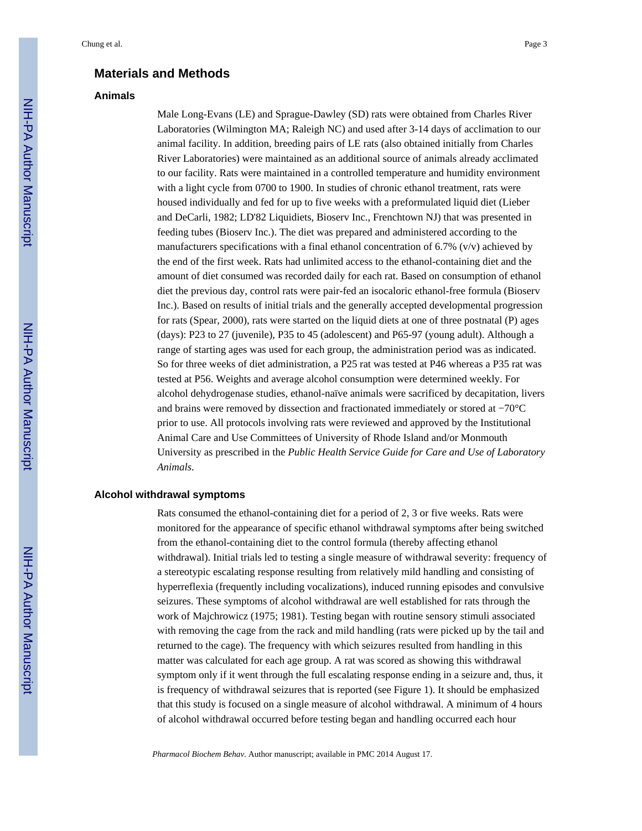# **Materials and Methods**

#### **Animals**

Male Long-Evans (LE) and Sprague-Dawley (SD) rats were obtained from Charles River Laboratories (Wilmington MA; Raleigh NC) and used after 3-14 days of acclimation to our animal facility. In addition, breeding pairs of LE rats (also obtained initially from Charles River Laboratories) were maintained as an additional source of animals already acclimated to our facility. Rats were maintained in a controlled temperature and humidity environment with a light cycle from 0700 to 1900. In studies of chronic ethanol treatment, rats were housed individually and fed for up to five weeks with a preformulated liquid diet (Lieber and DeCarli, 1982; LD'82 Liquidiets, Bioserv Inc., Frenchtown NJ) that was presented in feeding tubes (Bioserv Inc.). The diet was prepared and administered according to the manufacturers specifications with a final ethanol concentration of 6.7% (v/v) achieved by the end of the first week. Rats had unlimited access to the ethanol-containing diet and the amount of diet consumed was recorded daily for each rat. Based on consumption of ethanol diet the previous day, control rats were pair-fed an isocaloric ethanol-free formula (Bioserv Inc.). Based on results of initial trials and the generally accepted developmental progression for rats (Spear, 2000), rats were started on the liquid diets at one of three postnatal (P) ages (days): P23 to 27 (juvenile), P35 to 45 (adolescent) and P65-97 (young adult). Although a range of starting ages was used for each group, the administration period was as indicated. So for three weeks of diet administration, a P25 rat was tested at P46 whereas a P35 rat was tested at P56. Weights and average alcohol consumption were determined weekly. For alcohol dehydrogenase studies, ethanol-naïve animals were sacrificed by decapitation, livers and brains were removed by dissection and fractionated immediately or stored at −70°C prior to use. All protocols involving rats were reviewed and approved by the Institutional Animal Care and Use Committees of University of Rhode Island and/or Monmouth University as prescribed in the *Public Health Service Guide for Care and Use of Laboratory Animals*.

#### **Alcohol withdrawal symptoms**

Rats consumed the ethanol-containing diet for a period of 2, 3 or five weeks. Rats were monitored for the appearance of specific ethanol withdrawal symptoms after being switched from the ethanol-containing diet to the control formula (thereby affecting ethanol withdrawal). Initial trials led to testing a single measure of withdrawal severity: frequency of a stereotypic escalating response resulting from relatively mild handling and consisting of hyperreflexia (frequently including vocalizations), induced running episodes and convulsive seizures. These symptoms of alcohol withdrawal are well established for rats through the work of Majchrowicz (1975; 1981). Testing began with routine sensory stimuli associated with removing the cage from the rack and mild handling (rats were picked up by the tail and returned to the cage). The frequency with which seizures resulted from handling in this matter was calculated for each age group. A rat was scored as showing this withdrawal symptom only if it went through the full escalating response ending in a seizure and, thus, it is frequency of withdrawal seizures that is reported (see Figure 1). It should be emphasized that this study is focused on a single measure of alcohol withdrawal. A minimum of 4 hours of alcohol withdrawal occurred before testing began and handling occurred each hour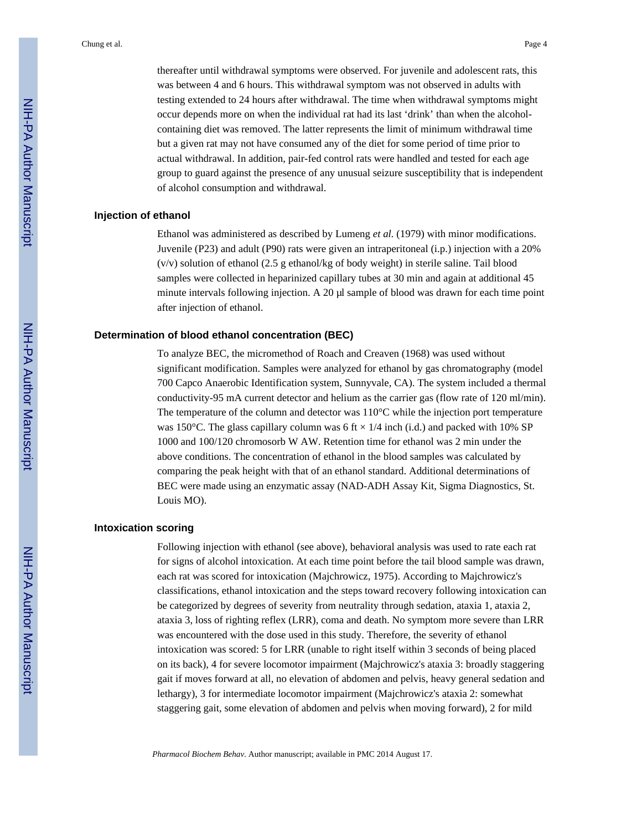thereafter until withdrawal symptoms were observed. For juvenile and adolescent rats, this was between 4 and 6 hours. This withdrawal symptom was not observed in adults with testing extended to 24 hours after withdrawal. The time when withdrawal symptoms might occur depends more on when the individual rat had its last 'drink' than when the alcoholcontaining diet was removed. The latter represents the limit of minimum withdrawal time but a given rat may not have consumed any of the diet for some period of time prior to actual withdrawal. In addition, pair-fed control rats were handled and tested for each age group to guard against the presence of any unusual seizure susceptibility that is independent of alcohol consumption and withdrawal.

### **Injection of ethanol**

Ethanol was administered as described by Lumeng *et al.* (1979) with minor modifications. Juvenile (P23) and adult (P90) rats were given an intraperitoneal (i.p.) injection with a 20% (v/v) solution of ethanol (2.5 g ethanol/kg of body weight) in sterile saline. Tail blood samples were collected in heparinized capillary tubes at 30 min and again at additional 45 minute intervals following injection. A 20 μl sample of blood was drawn for each time point after injection of ethanol.

#### **Determination of blood ethanol concentration (BEC)**

To analyze BEC, the micromethod of Roach and Creaven (1968) was used without significant modification. Samples were analyzed for ethanol by gas chromatography (model 700 Capco Anaerobic Identification system, Sunnyvale, CA). The system included a thermal conductivity-95 mA current detector and helium as the carrier gas (flow rate of 120 ml/min). The temperature of the column and detector was  $110^{\circ}$ C while the injection port temperature was 150°C. The glass capillary column was 6 ft  $\times$  1/4 inch (i.d.) and packed with 10% SP 1000 and 100/120 chromosorb W AW. Retention time for ethanol was 2 min under the above conditions. The concentration of ethanol in the blood samples was calculated by comparing the peak height with that of an ethanol standard. Additional determinations of BEC were made using an enzymatic assay (NAD-ADH Assay Kit, Sigma Diagnostics, St. Louis MO).

#### **Intoxication scoring**

Following injection with ethanol (see above), behavioral analysis was used to rate each rat for signs of alcohol intoxication. At each time point before the tail blood sample was drawn, each rat was scored for intoxication (Majchrowicz, 1975). According to Majchrowicz's classifications, ethanol intoxication and the steps toward recovery following intoxication can be categorized by degrees of severity from neutrality through sedation, ataxia 1, ataxia 2, ataxia 3, loss of righting reflex (LRR), coma and death. No symptom more severe than LRR was encountered with the dose used in this study. Therefore, the severity of ethanol intoxication was scored: 5 for LRR (unable to right itself within 3 seconds of being placed on its back), 4 for severe locomotor impairment (Majchrowicz's ataxia 3: broadly staggering gait if moves forward at all, no elevation of abdomen and pelvis, heavy general sedation and lethargy), 3 for intermediate locomotor impairment (Majchrowicz's ataxia 2: somewhat staggering gait, some elevation of abdomen and pelvis when moving forward), 2 for mild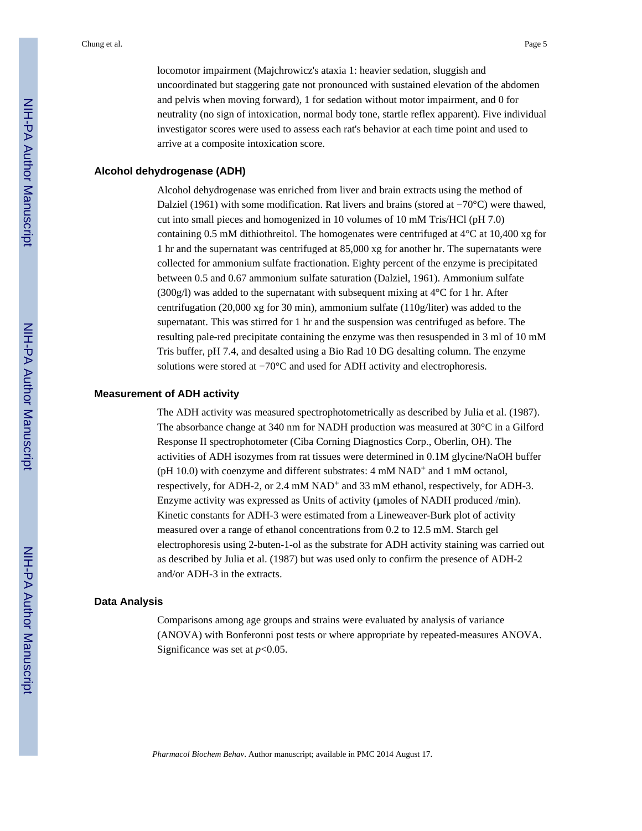locomotor impairment (Majchrowicz's ataxia 1: heavier sedation, sluggish and uncoordinated but staggering gate not pronounced with sustained elevation of the abdomen and pelvis when moving forward), 1 for sedation without motor impairment, and 0 for neutrality (no sign of intoxication, normal body tone, startle reflex apparent). Five individual investigator scores were used to assess each rat's behavior at each time point and used to arrive at a composite intoxication score.

### **Alcohol dehydrogenase (ADH)**

Alcohol dehydrogenase was enriched from liver and brain extracts using the method of Dalziel (1961) with some modification. Rat livers and brains (stored at −70°C) were thawed, cut into small pieces and homogenized in 10 volumes of 10 mM Tris/HCl (pH 7.0) containing 0.5 mM dithiothreitol. The homogenates were centrifuged at  $4^{\circ}$ C at 10,400 xg for 1 hr and the supernatant was centrifuged at 85,000 xg for another hr. The supernatants were collected for ammonium sulfate fractionation. Eighty percent of the enzyme is precipitated between 0.5 and 0.67 ammonium sulfate saturation (Dalziel, 1961). Ammonium sulfate (300g/l) was added to the supernatant with subsequent mixing at  $4^{\circ}$ C for 1 hr. After centrifugation (20,000 xg for 30 min), ammonium sulfate (110g/liter) was added to the supernatant. This was stirred for 1 hr and the suspension was centrifuged as before. The resulting pale-red precipitate containing the enzyme was then resuspended in 3 ml of 10 mM Tris buffer, pH 7.4, and desalted using a Bio Rad 10 DG desalting column. The enzyme solutions were stored at −70°C and used for ADH activity and electrophoresis.

#### **Measurement of ADH activity**

The ADH activity was measured spectrophotometrically as described by Julia et al. (1987). The absorbance change at 340 nm for NADH production was measured at 30°C in a Gilford Response II spectrophotometer (Ciba Corning Diagnostics Corp., Oberlin, OH). The activities of ADH isozymes from rat tissues were determined in 0.1M glycine/NaOH buffer (pH 10.0) with coenzyme and different substrates:  $4 \text{ mM } \text{NAD}^+$  and  $1 \text{ mM }$  octanol, respectively, for ADH-2, or 2.4 mM NAD<sup>+</sup> and 33 mM ethanol, respectively, for ADH-3. Enzyme activity was expressed as Units of activity (μmoles of NADH produced /min). Kinetic constants for ADH-3 were estimated from a Lineweaver-Burk plot of activity measured over a range of ethanol concentrations from 0.2 to 12.5 mM. Starch gel electrophoresis using 2-buten-1-ol as the substrate for ADH activity staining was carried out as described by Julia et al. (1987) but was used only to confirm the presence of ADH-2 and/or ADH-3 in the extracts.

#### **Data Analysis**

Comparisons among age groups and strains were evaluated by analysis of variance (ANOVA) with Bonferonni post tests or where appropriate by repeated-measures ANOVA. Significance was set at  $p<0.05$ .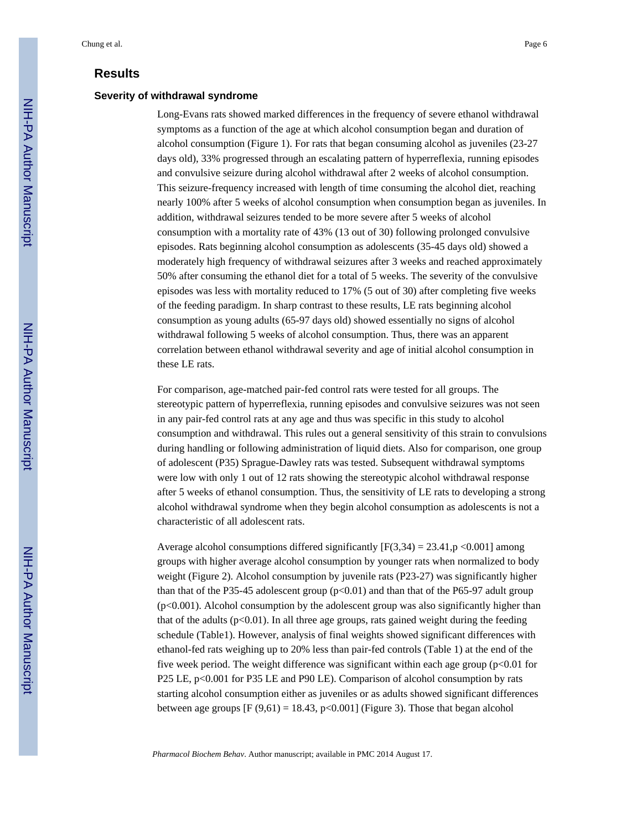# **Results**

#### **Severity of withdrawal syndrome**

Long-Evans rats showed marked differences in the frequency of severe ethanol withdrawal symptoms as a function of the age at which alcohol consumption began and duration of alcohol consumption (Figure 1). For rats that began consuming alcohol as juveniles (23-27 days old), 33% progressed through an escalating pattern of hyperreflexia, running episodes and convulsive seizure during alcohol withdrawal after 2 weeks of alcohol consumption. This seizure-frequency increased with length of time consuming the alcohol diet, reaching nearly 100% after 5 weeks of alcohol consumption when consumption began as juveniles. In addition, withdrawal seizures tended to be more severe after 5 weeks of alcohol consumption with a mortality rate of 43% (13 out of 30) following prolonged convulsive episodes. Rats beginning alcohol consumption as adolescents (35-45 days old) showed a moderately high frequency of withdrawal seizures after 3 weeks and reached approximately 50% after consuming the ethanol diet for a total of 5 weeks. The severity of the convulsive episodes was less with mortality reduced to 17% (5 out of 30) after completing five weeks of the feeding paradigm. In sharp contrast to these results, LE rats beginning alcohol consumption as young adults (65-97 days old) showed essentially no signs of alcohol withdrawal following 5 weeks of alcohol consumption. Thus, there was an apparent correlation between ethanol withdrawal severity and age of initial alcohol consumption in these LE rats.

For comparison, age-matched pair-fed control rats were tested for all groups. The stereotypic pattern of hyperreflexia, running episodes and convulsive seizures was not seen in any pair-fed control rats at any age and thus was specific in this study to alcohol consumption and withdrawal. This rules out a general sensitivity of this strain to convulsions during handling or following administration of liquid diets. Also for comparison, one group of adolescent (P35) Sprague-Dawley rats was tested. Subsequent withdrawal symptoms were low with only 1 out of 12 rats showing the stereotypic alcohol withdrawal response after 5 weeks of ethanol consumption. Thus, the sensitivity of LE rats to developing a strong alcohol withdrawal syndrome when they begin alcohol consumption as adolescents is not a characteristic of all adolescent rats.

Average alcohol consumptions differed significantly  $[F(3,34) = 23.41$ ,  $p < 0.001]$  among groups with higher average alcohol consumption by younger rats when normalized to body weight (Figure 2). Alcohol consumption by juvenile rats (P23-27) was significantly higher than that of the P35-45 adolescent group  $(p<0.01)$  and than that of the P65-97 adult group (p<0.001). Alcohol consumption by the adolescent group was also significantly higher than that of the adults  $(p<0.01)$ . In all three age groups, rats gained weight during the feeding schedule (Table1). However, analysis of final weights showed significant differences with ethanol-fed rats weighing up to 20% less than pair-fed controls (Table 1) at the end of the five week period. The weight difference was significant within each age group ( $p<0.01$  for P25 LE, p<0.001 for P35 LE and P90 LE). Comparison of alcohol consumption by rats starting alcohol consumption either as juveniles or as adults showed significant differences between age groups  $[F (9,61) = 18.43, p<0.001]$  (Figure 3). Those that began alcohol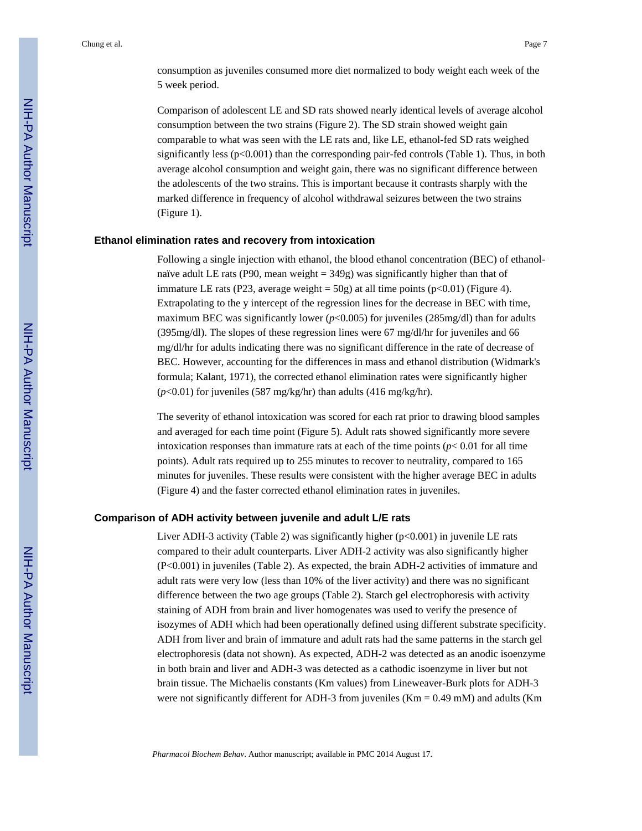Comparison of adolescent LE and SD rats showed nearly identical levels of average alcohol consumption between the two strains (Figure 2). The SD strain showed weight gain comparable to what was seen with the LE rats and, like LE, ethanol-fed SD rats weighed significantly less  $(p<0.001)$  than the corresponding pair-fed controls (Table 1). Thus, in both average alcohol consumption and weight gain, there was no significant difference between the adolescents of the two strains. This is important because it contrasts sharply with the marked difference in frequency of alcohol withdrawal seizures between the two strains (Figure 1).

#### **Ethanol elimination rates and recovery from intoxication**

Following a single injection with ethanol, the blood ethanol concentration (BEC) of ethanolnaïve adult LE rats (P90, mean weight  $=$  349g) was significantly higher than that of immature LE rats (P23, average weight =  $50g$ ) at all time points (p<0.01) (Figure 4). Extrapolating to the y intercept of the regression lines for the decrease in BEC with time, maximum BEC was significantly lower  $(p<0.005)$  for juveniles (285mg/dl) than for adults (395mg/dl). The slopes of these regression lines were 67 mg/dl/hr for juveniles and 66 mg/dl/hr for adults indicating there was no significant difference in the rate of decrease of BEC. However, accounting for the differences in mass and ethanol distribution (Widmark's formula; Kalant, 1971), the corrected ethanol elimination rates were significantly higher (*p*<0.01) for juveniles (587 mg/kg/hr) than adults (416 mg/kg/hr).

The severity of ethanol intoxication was scored for each rat prior to drawing blood samples and averaged for each time point (Figure 5). Adult rats showed significantly more severe intoxication responses than immature rats at each of the time points ( $p < 0.01$  for all time points). Adult rats required up to 255 minutes to recover to neutrality, compared to 165 minutes for juveniles. These results were consistent with the higher average BEC in adults (Figure 4) and the faster corrected ethanol elimination rates in juveniles.

### **Comparison of ADH activity between juvenile and adult L/E rats**

Liver ADH-3 activity (Table 2) was significantly higher (p<0.001) in juvenile LE rats compared to their adult counterparts. Liver ADH-2 activity was also significantly higher (P<0.001) in juveniles (Table 2). As expected, the brain ADH-2 activities of immature and adult rats were very low (less than 10% of the liver activity) and there was no significant difference between the two age groups (Table 2). Starch gel electrophoresis with activity staining of ADH from brain and liver homogenates was used to verify the presence of isozymes of ADH which had been operationally defined using different substrate specificity. ADH from liver and brain of immature and adult rats had the same patterns in the starch gel electrophoresis (data not shown). As expected, ADH-2 was detected as an anodic isoenzyme in both brain and liver and ADH-3 was detected as a cathodic isoenzyme in liver but not brain tissue. The Michaelis constants (Km values) from Lineweaver-Burk plots for ADH-3 were not significantly different for ADH-3 from juveniles ( $Km = 0.49$  mM) and adults ( $Km$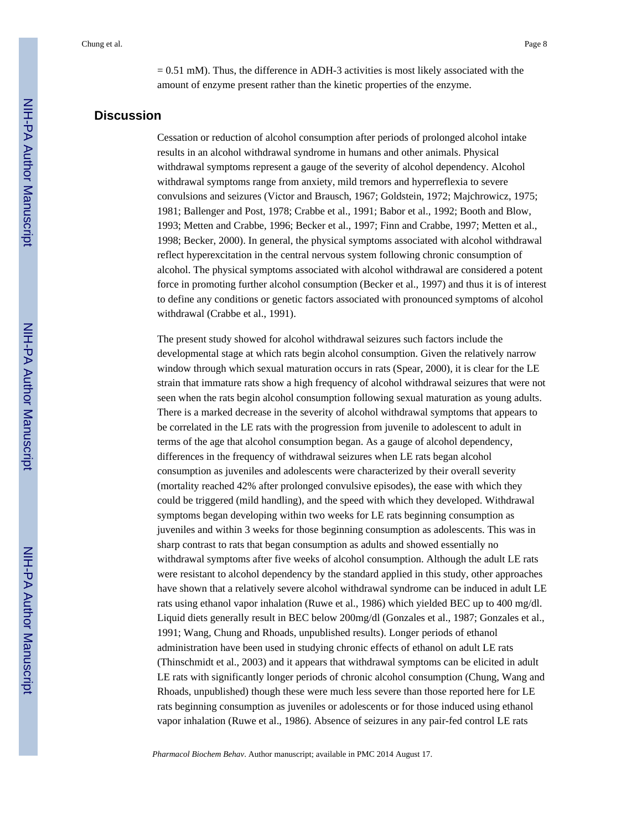$= 0.51$  mM). Thus, the difference in ADH-3 activities is most likely associated with the amount of enzyme present rather than the kinetic properties of the enzyme.

# **Discussion**

Cessation or reduction of alcohol consumption after periods of prolonged alcohol intake results in an alcohol withdrawal syndrome in humans and other animals. Physical withdrawal symptoms represent a gauge of the severity of alcohol dependency. Alcohol withdrawal symptoms range from anxiety, mild tremors and hyperreflexia to severe convulsions and seizures (Victor and Brausch, 1967; Goldstein, 1972; Majchrowicz, 1975; 1981; Ballenger and Post, 1978; Crabbe et al., 1991; Babor et al., 1992; Booth and Blow, 1993; Metten and Crabbe, 1996; Becker et al., 1997; Finn and Crabbe, 1997; Metten et al., 1998; Becker, 2000). In general, the physical symptoms associated with alcohol withdrawal reflect hyperexcitation in the central nervous system following chronic consumption of alcohol. The physical symptoms associated with alcohol withdrawal are considered a potent force in promoting further alcohol consumption (Becker et al., 1997) and thus it is of interest to define any conditions or genetic factors associated with pronounced symptoms of alcohol withdrawal (Crabbe et al., 1991).

The present study showed for alcohol withdrawal seizures such factors include the developmental stage at which rats begin alcohol consumption. Given the relatively narrow window through which sexual maturation occurs in rats (Spear, 2000), it is clear for the LE strain that immature rats show a high frequency of alcohol withdrawal seizures that were not seen when the rats begin alcohol consumption following sexual maturation as young adults. There is a marked decrease in the severity of alcohol withdrawal symptoms that appears to be correlated in the LE rats with the progression from juvenile to adolescent to adult in terms of the age that alcohol consumption began. As a gauge of alcohol dependency, differences in the frequency of withdrawal seizures when LE rats began alcohol consumption as juveniles and adolescents were characterized by their overall severity (mortality reached 42% after prolonged convulsive episodes), the ease with which they could be triggered (mild handling), and the speed with which they developed. Withdrawal symptoms began developing within two weeks for LE rats beginning consumption as juveniles and within 3 weeks for those beginning consumption as adolescents. This was in sharp contrast to rats that began consumption as adults and showed essentially no withdrawal symptoms after five weeks of alcohol consumption. Although the adult LE rats were resistant to alcohol dependency by the standard applied in this study, other approaches have shown that a relatively severe alcohol withdrawal syndrome can be induced in adult LE rats using ethanol vapor inhalation (Ruwe et al., 1986) which yielded BEC up to 400 mg/dl. Liquid diets generally result in BEC below 200mg/dl (Gonzales et al., 1987; Gonzales et al., 1991; Wang, Chung and Rhoads, unpublished results). Longer periods of ethanol administration have been used in studying chronic effects of ethanol on adult LE rats (Thinschmidt et al., 2003) and it appears that withdrawal symptoms can be elicited in adult LE rats with significantly longer periods of chronic alcohol consumption (Chung, Wang and Rhoads, unpublished) though these were much less severe than those reported here for LE rats beginning consumption as juveniles or adolescents or for those induced using ethanol vapor inhalation (Ruwe et al., 1986). Absence of seizures in any pair-fed control LE rats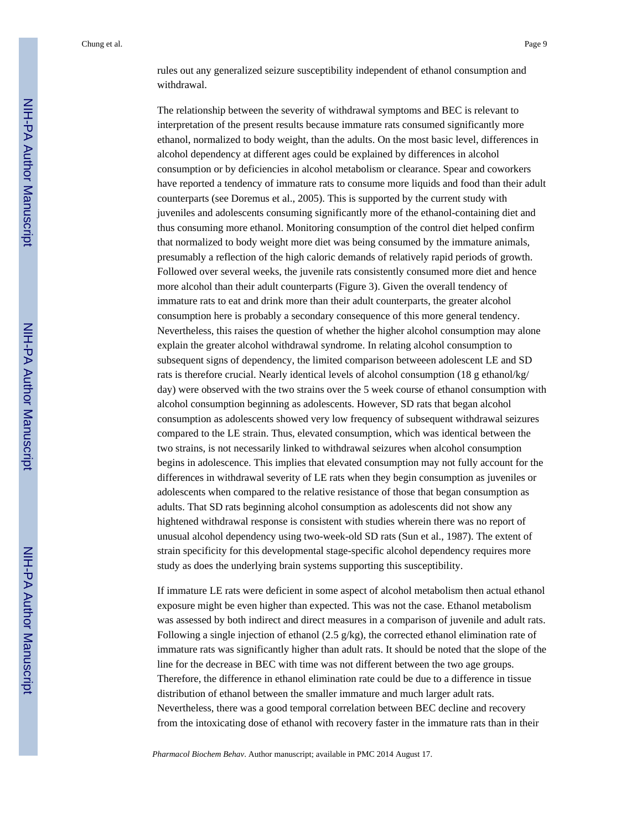rules out any generalized seizure susceptibility independent of ethanol consumption and withdrawal.

The relationship between the severity of withdrawal symptoms and BEC is relevant to interpretation of the present results because immature rats consumed significantly more ethanol, normalized to body weight, than the adults. On the most basic level, differences in alcohol dependency at different ages could be explained by differences in alcohol consumption or by deficiencies in alcohol metabolism or clearance. Spear and coworkers have reported a tendency of immature rats to consume more liquids and food than their adult counterparts (see Doremus et al., 2005). This is supported by the current study with juveniles and adolescents consuming significantly more of the ethanol-containing diet and thus consuming more ethanol. Monitoring consumption of the control diet helped confirm that normalized to body weight more diet was being consumed by the immature animals, presumably a reflection of the high caloric demands of relatively rapid periods of growth. Followed over several weeks, the juvenile rats consistently consumed more diet and hence more alcohol than their adult counterparts (Figure 3). Given the overall tendency of immature rats to eat and drink more than their adult counterparts, the greater alcohol consumption here is probably a secondary consequence of this more general tendency. Nevertheless, this raises the question of whether the higher alcohol consumption may alone explain the greater alcohol withdrawal syndrome. In relating alcohol consumption to subsequent signs of dependency, the limited comparison betweeen adolescent LE and SD rats is therefore crucial. Nearly identical levels of alcohol consumption (18 g ethanol/kg/ day) were observed with the two strains over the 5 week course of ethanol consumption with alcohol consumption beginning as adolescents. However, SD rats that began alcohol consumption as adolescents showed very low frequency of subsequent withdrawal seizures compared to the LE strain. Thus, elevated consumption, which was identical between the two strains, is not necessarily linked to withdrawal seizures when alcohol consumption begins in adolescence. This implies that elevated consumption may not fully account for the differences in withdrawal severity of LE rats when they begin consumption as juveniles or adolescents when compared to the relative resistance of those that began consumption as adults. That SD rats beginning alcohol consumption as adolescents did not show any hightened withdrawal response is consistent with studies wherein there was no report of unusual alcohol dependency using two-week-old SD rats (Sun et al., 1987). The extent of strain specificity for this developmental stage-specific alcohol dependency requires more study as does the underlying brain systems supporting this susceptibility.

If immature LE rats were deficient in some aspect of alcohol metabolism then actual ethanol exposure might be even higher than expected. This was not the case. Ethanol metabolism was assessed by both indirect and direct measures in a comparison of juvenile and adult rats. Following a single injection of ethanol (2.5 g/kg), the corrected ethanol elimination rate of immature rats was significantly higher than adult rats. It should be noted that the slope of the line for the decrease in BEC with time was not different between the two age groups. Therefore, the difference in ethanol elimination rate could be due to a difference in tissue distribution of ethanol between the smaller immature and much larger adult rats. Nevertheless, there was a good temporal correlation between BEC decline and recovery from the intoxicating dose of ethanol with recovery faster in the immature rats than in their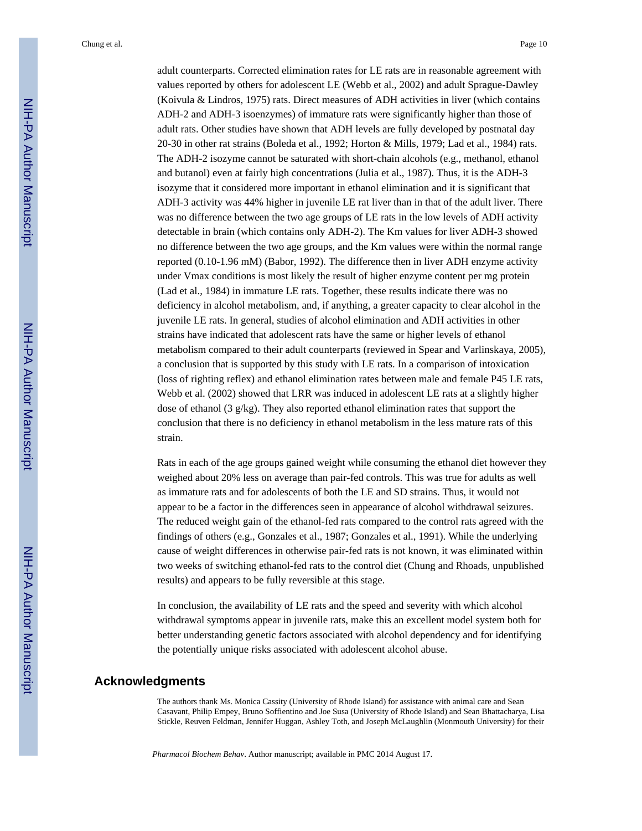adult counterparts. Corrected elimination rates for LE rats are in reasonable agreement with values reported by others for adolescent LE (Webb et al., 2002) and adult Sprague-Dawley (Koivula & Lindros, 1975) rats. Direct measures of ADH activities in liver (which contains ADH-2 and ADH-3 isoenzymes) of immature rats were significantly higher than those of adult rats. Other studies have shown that ADH levels are fully developed by postnatal day 20-30 in other rat strains (Boleda et al., 1992; Horton & Mills, 1979; Lad et al., 1984) rats. The ADH-2 isozyme cannot be saturated with short-chain alcohols (e.g., methanol, ethanol and butanol) even at fairly high concentrations (Julia et al., 1987). Thus, it is the ADH-3 isozyme that it considered more important in ethanol elimination and it is significant that ADH-3 activity was 44% higher in juvenile LE rat liver than in that of the adult liver. There was no difference between the two age groups of LE rats in the low levels of ADH activity detectable in brain (which contains only ADH-2). The Km values for liver ADH-3 showed no difference between the two age groups, and the Km values were within the normal range reported (0.10-1.96 mM) (Babor, 1992). The difference then in liver ADH enzyme activity under Vmax conditions is most likely the result of higher enzyme content per mg protein (Lad et al., 1984) in immature LE rats. Together, these results indicate there was no deficiency in alcohol metabolism, and, if anything, a greater capacity to clear alcohol in the juvenile LE rats. In general, studies of alcohol elimination and ADH activities in other strains have indicated that adolescent rats have the same or higher levels of ethanol metabolism compared to their adult counterparts (reviewed in Spear and Varlinskaya, 2005), a conclusion that is supported by this study with LE rats. In a comparison of intoxication (loss of righting reflex) and ethanol elimination rates between male and female P45 LE rats, Webb et al. (2002) showed that LRR was induced in adolescent LE rats at a slightly higher dose of ethanol (3 g/kg). They also reported ethanol elimination rates that support the conclusion that there is no deficiency in ethanol metabolism in the less mature rats of this strain.

Rats in each of the age groups gained weight while consuming the ethanol diet however they weighed about 20% less on average than pair-fed controls. This was true for adults as well as immature rats and for adolescents of both the LE and SD strains. Thus, it would not appear to be a factor in the differences seen in appearance of alcohol withdrawal seizures. The reduced weight gain of the ethanol-fed rats compared to the control rats agreed with the findings of others (e.g., Gonzales et al., 1987; Gonzales et al., 1991). While the underlying cause of weight differences in otherwise pair-fed rats is not known, it was eliminated within two weeks of switching ethanol-fed rats to the control diet (Chung and Rhoads, unpublished results) and appears to be fully reversible at this stage.

In conclusion, the availability of LE rats and the speed and severity with which alcohol withdrawal symptoms appear in juvenile rats, make this an excellent model system both for better understanding genetic factors associated with alcohol dependency and for identifying the potentially unique risks associated with adolescent alcohol abuse.

# **Acknowledgments**

The authors thank Ms. Monica Cassity (University of Rhode Island) for assistance with animal care and Sean Casavant, Philip Empey, Bruno Soffientino and Joe Susa (University of Rhode Island) and Sean Bhattacharya, Lisa Stickle, Reuven Feldman, Jennifer Huggan, Ashley Toth, and Joseph McLaughlin (Monmouth University) for their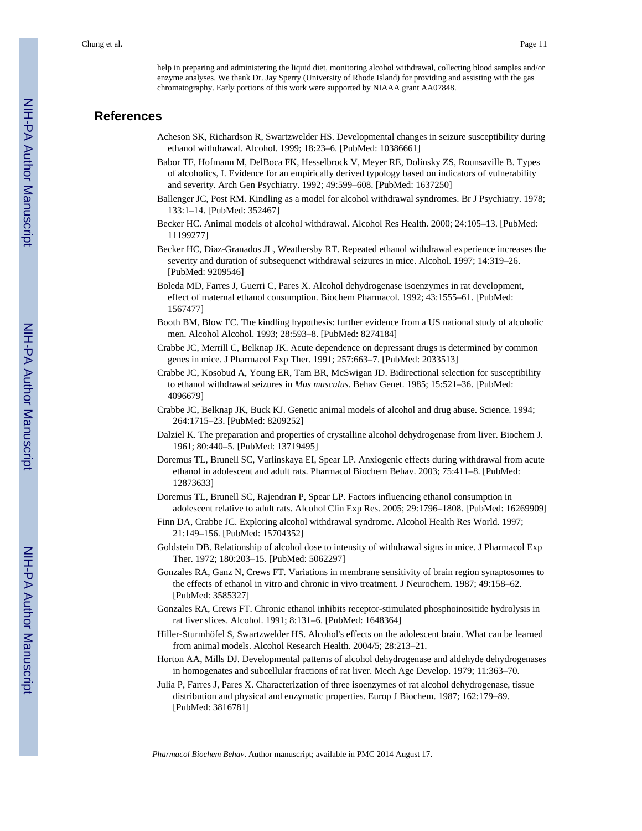help in preparing and administering the liquid diet, monitoring alcohol withdrawal, collecting blood samples and/or enzyme analyses. We thank Dr. Jay Sperry (University of Rhode Island) for providing and assisting with the gas chromatography. Early portions of this work were supported by NIAAA grant AA07848.

# **References**

- Acheson SK, Richardson R, Swartzwelder HS. Developmental changes in seizure susceptibility during ethanol withdrawal. Alcohol. 1999; 18:23–6. [PubMed: 10386661]
- Babor TF, Hofmann M, DelBoca FK, Hesselbrock V, Meyer RE, Dolinsky ZS, Rounsaville B. Types of alcoholics, I. Evidence for an empirically derived typology based on indicators of vulnerability and severity. Arch Gen Psychiatry. 1992; 49:599–608. [PubMed: 1637250]
- Ballenger JC, Post RM. Kindling as a model for alcohol withdrawal syndromes. Br J Psychiatry. 1978; 133:1–14. [PubMed: 352467]
- Becker HC. Animal models of alcohol withdrawal. Alcohol Res Health. 2000; 24:105–13. [PubMed: 11199277]
- Becker HC, Diaz-Granados JL, Weathersby RT. Repeated ethanol withdrawal experience increases the severity and duration of subsequenct withdrawal seizures in mice. Alcohol. 1997; 14:319–26. [PubMed: 9209546]
- Boleda MD, Farres J, Guerri C, Pares X. Alcohol dehydrogenase isoenzymes in rat development, effect of maternal ethanol consumption. Biochem Pharmacol. 1992; 43:1555–61. [PubMed: 1567477]
- Booth BM, Blow FC. The kindling hypothesis: further evidence from a US national study of alcoholic men. Alcohol Alcohol. 1993; 28:593–8. [PubMed: 8274184]
- Crabbe JC, Merrill C, Belknap JK. Acute dependence on depressant drugs is determined by common genes in mice. J Pharmacol Exp Ther. 1991; 257:663–7. [PubMed: 2033513]
- Crabbe JC, Kosobud A, Young ER, Tam BR, McSwigan JD. Bidirectional selection for susceptibility to ethanol withdrawal seizures in *Mus musculus*. Behav Genet. 1985; 15:521–36. [PubMed: 4096679]
- Crabbe JC, Belknap JK, Buck KJ. Genetic animal models of alcohol and drug abuse. Science. 1994; 264:1715–23. [PubMed: 8209252]
- Dalziel K. The preparation and properties of crystalline alcohol dehydrogenase from liver. Biochem J. 1961; 80:440–5. [PubMed: 13719495]
- Doremus TL, Brunell SC, Varlinskaya EI, Spear LP. Anxiogenic effects during withdrawal from acute ethanol in adolescent and adult rats. Pharmacol Biochem Behav. 2003; 75:411–8. [PubMed: 12873633]
- Doremus TL, Brunell SC, Rajendran P, Spear LP. Factors influencing ethanol consumption in adolescent relative to adult rats. Alcohol Clin Exp Res. 2005; 29:1796–1808. [PubMed: 16269909]
- Finn DA, Crabbe JC. Exploring alcohol withdrawal syndrome. Alcohol Health Res World. 1997; 21:149–156. [PubMed: 15704352]
- Goldstein DB. Relationship of alcohol dose to intensity of withdrawal signs in mice. J Pharmacol Exp Ther. 1972; 180:203–15. [PubMed: 5062297]
- Gonzales RA, Ganz N, Crews FT. Variations in membrane sensitivity of brain region synaptosomes to the effects of ethanol in vitro and chronic in vivo treatment. J Neurochem. 1987; 49:158–62. [PubMed: 3585327]
- Gonzales RA, Crews FT. Chronic ethanol inhibits receptor-stimulated phosphoinositide hydrolysis in rat liver slices. Alcohol. 1991; 8:131–6. [PubMed: 1648364]
- Hiller-Sturmhöfel S, Swartzwelder HS. Alcohol's effects on the adolescent brain. What can be learned from animal models. Alcohol Research Health. 2004/5; 28:213–21.
- Horton AA, Mills DJ. Developmental patterns of alcohol dehydrogenase and aldehyde dehydrogenases in homogenates and subcellular fractions of rat liver. Mech Age Develop. 1979; 11:363–70.
- Julia P, Farres J, Pares X. Characterization of three isoenzymes of rat alcohol dehydrogenase, tissue distribution and physical and enzymatic properties. Europ J Biochem. 1987; 162:179–89. [PubMed: 3816781]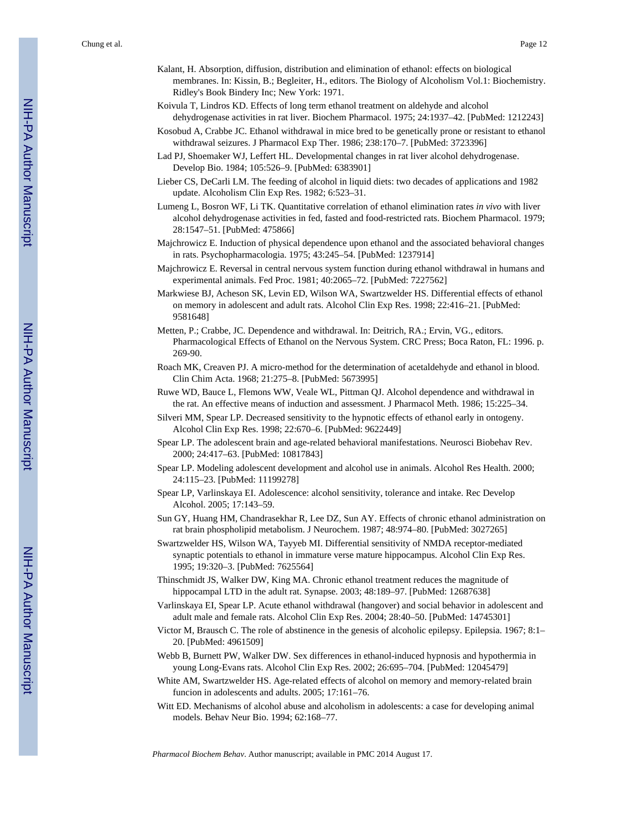- Kalant, H. Absorption, diffusion, distribution and elimination of ethanol: effects on biological membranes. In: Kissin, B.; Begleiter, H., editors. The Biology of Alcoholism Vol.1: Biochemistry. Ridley's Book Bindery Inc; New York: 1971.
- Koivula T, Lindros KD. Effects of long term ethanol treatment on aldehyde and alcohol dehydrogenase activities in rat liver. Biochem Pharmacol. 1975; 24:1937–42. [PubMed: 1212243]
- Kosobud A, Crabbe JC. Ethanol withdrawal in mice bred to be genetically prone or resistant to ethanol withdrawal seizures. J Pharmacol Exp Ther. 1986; 238:170–7. [PubMed: 3723396]
- Lad PJ, Shoemaker WJ, Leffert HL. Developmental changes in rat liver alcohol dehydrogenase. Develop Bio. 1984; 105:526–9. [PubMed: 6383901]
- Lieber CS, DeCarli LM. The feeding of alcohol in liquid diets: two decades of applications and 1982 update. Alcoholism Clin Exp Res. 1982; 6:523–31.
- Lumeng L, Bosron WF, Li TK. Quantitative correlation of ethanol elimination rates *in vivo* with liver alcohol dehydrogenase activities in fed, fasted and food-restricted rats. Biochem Pharmacol. 1979; 28:1547–51. [PubMed: 475866]
- Majchrowicz E. Induction of physical dependence upon ethanol and the associated behavioral changes in rats. Psychopharmacologia. 1975; 43:245–54. [PubMed: 1237914]
- Majchrowicz E. Reversal in central nervous system function during ethanol withdrawal in humans and experimental animals. Fed Proc. 1981; 40:2065–72. [PubMed: 7227562]
- Markwiese BJ, Acheson SK, Levin ED, Wilson WA, Swartzwelder HS. Differential effects of ethanol on memory in adolescent and adult rats. Alcohol Clin Exp Res. 1998; 22:416–21. [PubMed: 9581648]
- Metten, P.; Crabbe, JC. Dependence and withdrawal. In: Deitrich, RA.; Ervin, VG., editors. Pharmacological Effects of Ethanol on the Nervous System. CRC Press; Boca Raton, FL: 1996. p. 269-90.
- Roach MK, Creaven PJ. A micro-method for the determination of acetaldehyde and ethanol in blood. Clin Chim Acta. 1968; 21:275–8. [PubMed: 5673995]
- Ruwe WD, Bauce L, Flemons WW, Veale WL, Pittman QJ. Alcohol dependence and withdrawal in the rat. An effective means of induction and assessment. J Pharmacol Meth. 1986; 15:225–34.
- Silveri MM, Spear LP. Decreased sensitivity to the hypnotic effects of ethanol early in ontogeny. Alcohol Clin Exp Res. 1998; 22:670–6. [PubMed: 9622449]
- Spear LP. The adolescent brain and age-related behavioral manifestations. Neurosci Biobehav Rev. 2000; 24:417–63. [PubMed: 10817843]
- Spear LP. Modeling adolescent development and alcohol use in animals. Alcohol Res Health. 2000; 24:115–23. [PubMed: 11199278]
- Spear LP, Varlinskaya EI. Adolescence: alcohol sensitivity, tolerance and intake. Rec Develop Alcohol. 2005; 17:143–59.
- Sun GY, Huang HM, Chandrasekhar R, Lee DZ, Sun AY. Effects of chronic ethanol administration on rat brain phospholipid metabolism. J Neurochem. 1987; 48:974–80. [PubMed: 3027265]
- Swartzwelder HS, Wilson WA, Tayyeb MI. Differential sensitivity of NMDA receptor-mediated synaptic potentials to ethanol in immature verse mature hippocampus. Alcohol Clin Exp Res. 1995; 19:320–3. [PubMed: 7625564]
- Thinschmidt JS, Walker DW, King MA. Chronic ethanol treatment reduces the magnitude of hippocampal LTD in the adult rat. Synapse. 2003; 48:189–97. [PubMed: 12687638]
- Varlinskaya EI, Spear LP. Acute ethanol withdrawal (hangover) and social behavior in adolescent and adult male and female rats. Alcohol Clin Exp Res. 2004; 28:40–50. [PubMed: 14745301]
- Victor M, Brausch C. The role of abstinence in the genesis of alcoholic epilepsy. Epilepsia. 1967; 8:1– 20. [PubMed: 4961509]
- Webb B, Burnett PW, Walker DW. Sex differences in ethanol-induced hypnosis and hypothermia in young Long-Evans rats. Alcohol Clin Exp Res. 2002; 26:695–704. [PubMed: 12045479]
- White AM, Swartzwelder HS. Age-related effects of alcohol on memory and memory-related brain funcion in adolescents and adults. 2005; 17:161–76.
- Witt ED. Mechanisms of alcohol abuse and alcoholism in adolescents: a case for developing animal models. Behav Neur Bio. 1994; 62:168–77.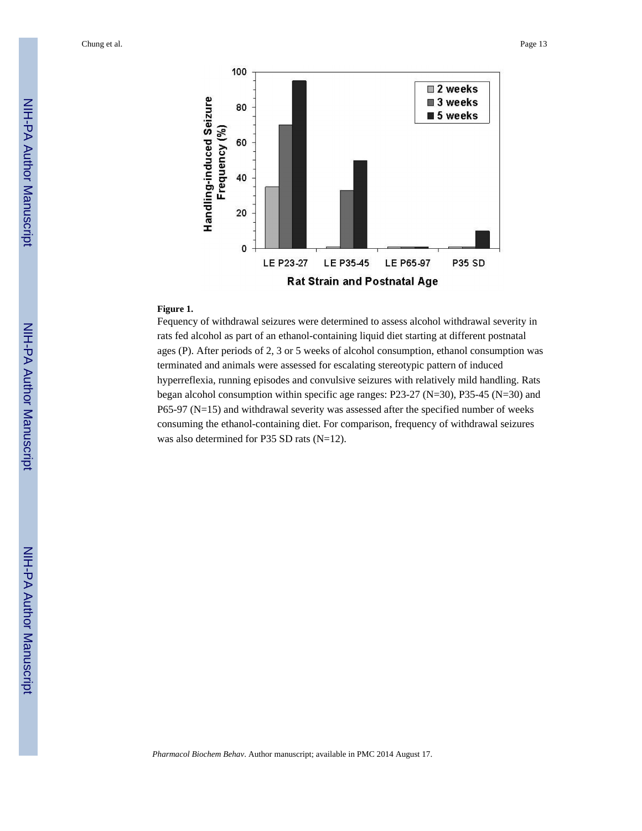

#### **Figure 1.**

Fequency of withdrawal seizures were determined to assess alcohol withdrawal severity in rats fed alcohol as part of an ethanol-containing liquid diet starting at different postnatal ages (P). After periods of 2, 3 or 5 weeks of alcohol consumption, ethanol consumption was terminated and animals were assessed for escalating stereotypic pattern of induced hyperreflexia, running episodes and convulsive seizures with relatively mild handling. Rats began alcohol consumption within specific age ranges: P23-27 (N=30), P35-45 (N=30) and P65-97 (N=15) and withdrawal severity was assessed after the specified number of weeks consuming the ethanol-containing diet. For comparison, frequency of withdrawal seizures was also determined for P35 SD rats (N=12).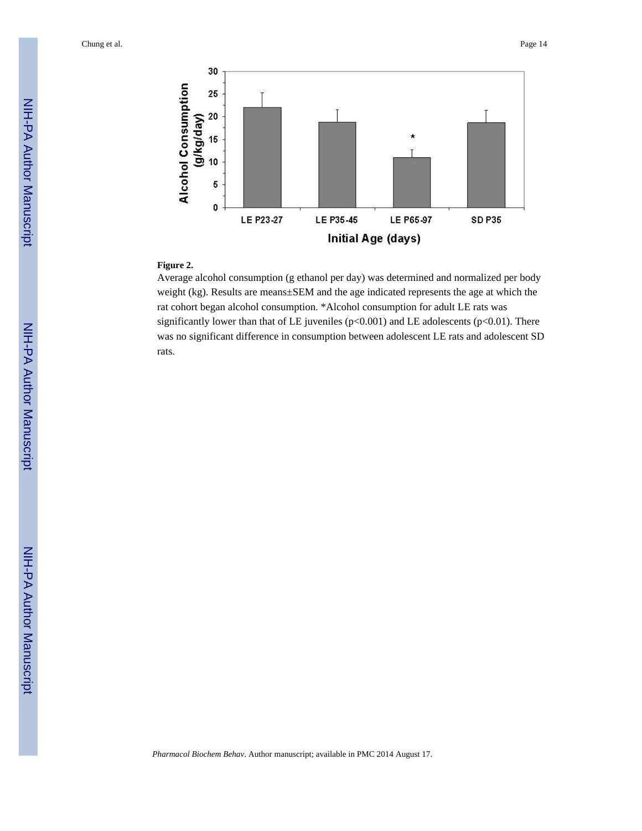

## **Figure 2.**

Average alcohol consumption (g ethanol per day) was determined and normalized per body weight (kg). Results are means±SEM and the age indicated represents the age at which the rat cohort began alcohol consumption. \*Alcohol consumption for adult LE rats was significantly lower than that of LE juveniles ( $p<0.001$ ) and LE adolescents ( $p<0.01$ ). There was no significant difference in consumption between adolescent LE rats and adolescent SD rats.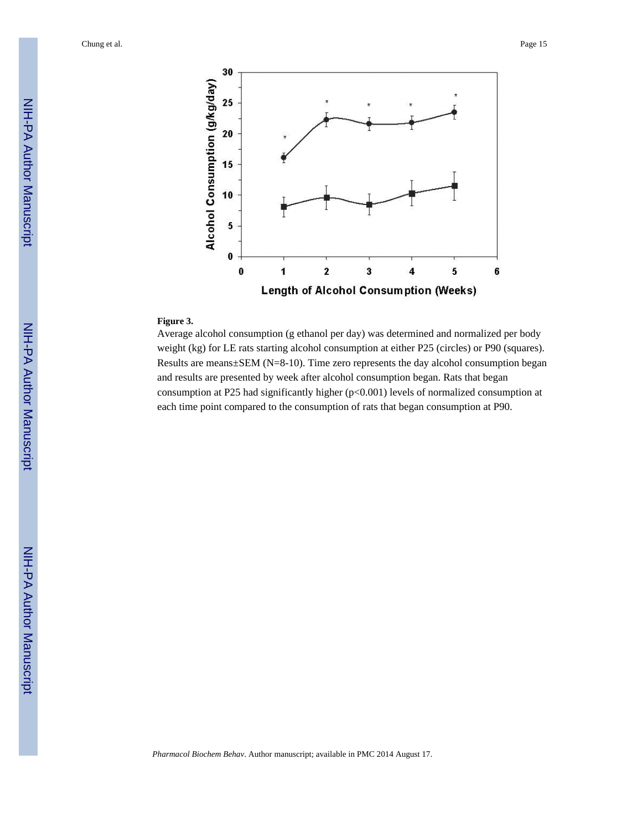

# **Figure 3.**

Average alcohol consumption (g ethanol per day) was determined and normalized per body weight (kg) for LE rats starting alcohol consumption at either P25 (circles) or P90 (squares). Results are means±SEM (N=8-10). Time zero represents the day alcohol consumption began and results are presented by week after alcohol consumption began. Rats that began consumption at P25 had significantly higher (p<0.001) levels of normalized consumption at each time point compared to the consumption of rats that began consumption at P90.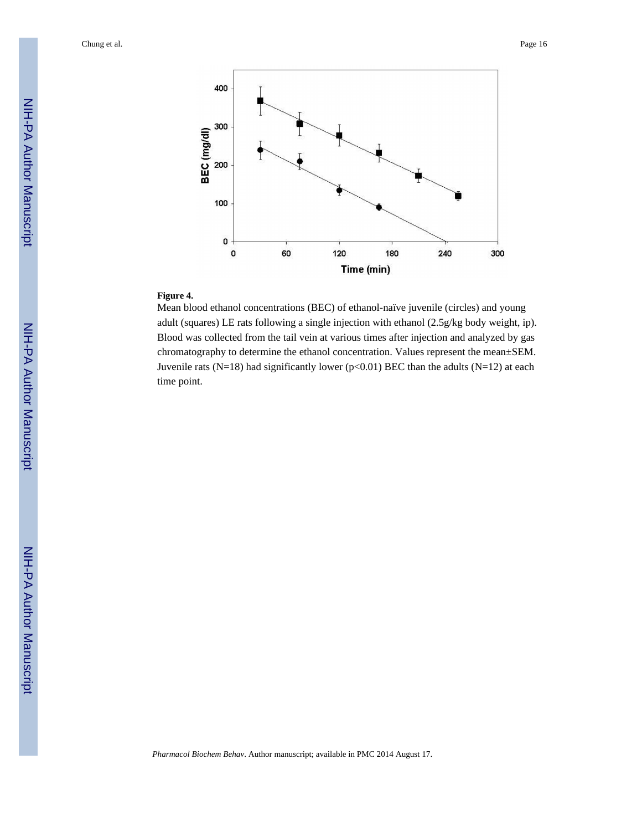

# **Figure 4.**

Mean blood ethanol concentrations (BEC) of ethanol-naïve juvenile (circles) and young adult (squares) LE rats following a single injection with ethanol (2.5g/kg body weight, ip). Blood was collected from the tail vein at various times after injection and analyzed by gas chromatography to determine the ethanol concentration. Values represent the mean±SEM. Juvenile rats (N=18) had significantly lower (p<0.01) BEC than the adults (N=12) at each time point.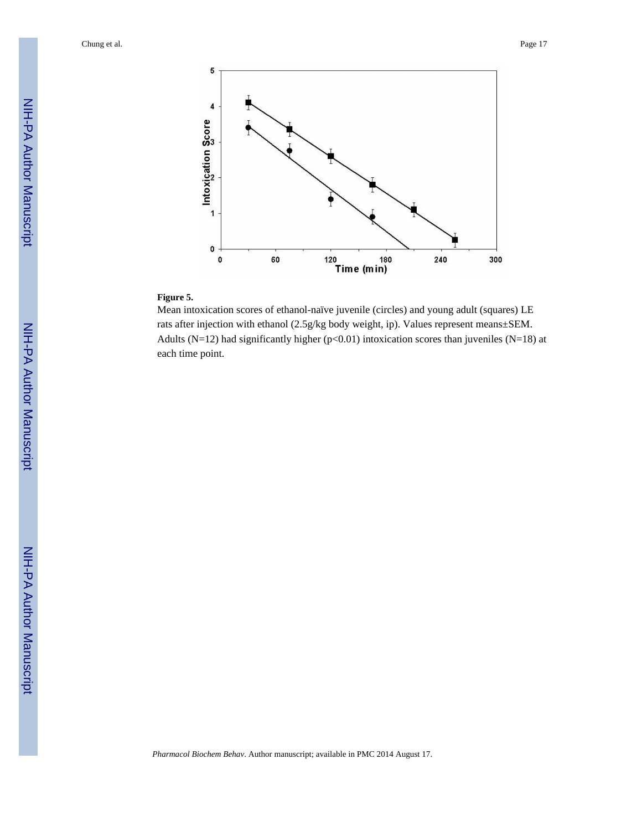

# **Figure 5.**

Mean intoxication scores of ethanol-naïve juvenile (circles) and young adult (squares) LE rats after injection with ethanol (2.5g/kg body weight, ip). Values represent means±SEM. Adults (N=12) had significantly higher ( $p<0.01$ ) intoxication scores than juveniles (N=18) at each time point.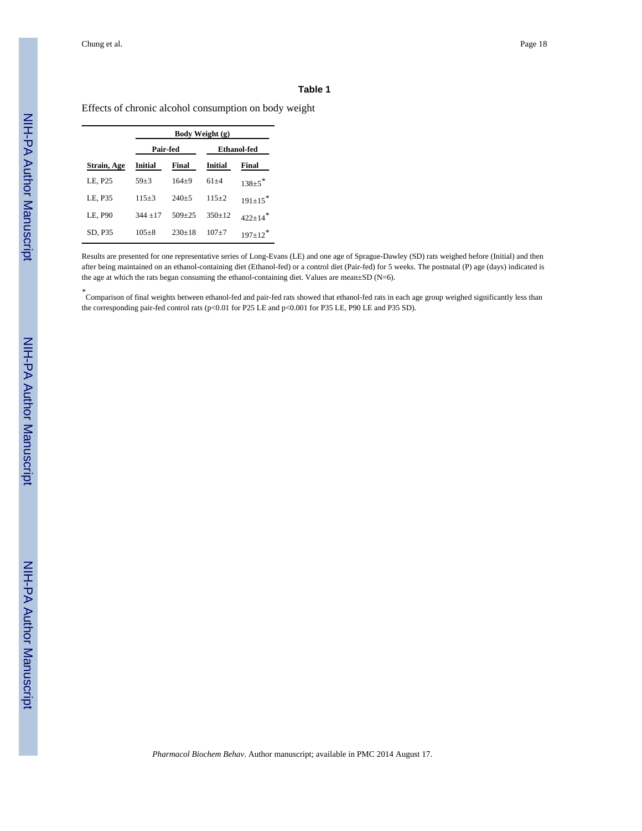#### **Table 1**

Effects of chronic alcohol consumption on body weight

|             | Body Weight (g) |            |             |                           |
|-------------|-----------------|------------|-------------|---------------------------|
|             | Pair-fed        |            | Ethanol-fed |                           |
| Strain, Age | Initial         | Final      | Initial     | Final                     |
| LE, P25     | $59 + 3$        | $164+9$    | $61 + 4$    | $138 \pm 5$ <sup>*</sup>  |
| LE, P35     | $115 + 3$       | $240 + 5$  | $115 + 2$   | $191+15$ <sup>*</sup>     |
| LE, P90     | $344 + 17$      | $509 + 25$ | $350+12$    | $422+14$ <sup>*</sup>     |
| SD, P35     | $105 + 8$       | $230+18$   | $107 + 7$   | $197 \pm 12$ <sup>*</sup> |

Results are presented for one representative series of Long-Evans (LE) and one age of Sprague-Dawley (SD) rats weighed before (Initial) and then after being maintained on an ethanol-containing diet (Ethanol-fed) or a control diet (Pair-fed) for 5 weeks. The postnatal (P) age (days) indicated is the age at which the rats began consuming the ethanol-containing diet. Values are mean±SD (N=6).

*\** Comparison of final weights between ethanol-fed and pair-fed rats showed that ethanol-fed rats in each age group weighed significantly less than the corresponding pair-fed control rats (p<0.01 for P25 LE and p<0.001 for P35 LE, P90 LE and P35 SD).